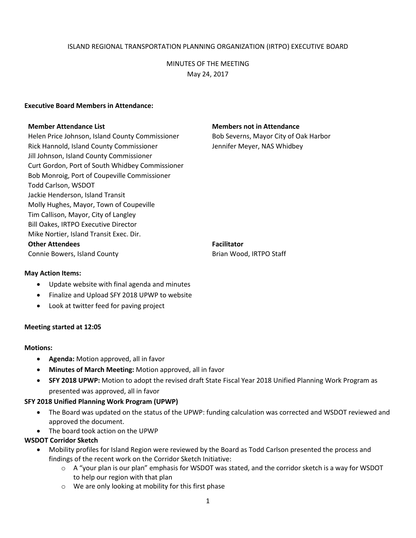## ISLAND REGIONAL TRANSPORTATION PLANNING ORGANIZATION (IRTPO) EXECUTIVE BOARD

# MINUTES OF THE MEETING May 24, 2017

#### **Executive Board Members in Attendance:**

Helen Price Johnson, Island County Commissioner Bob Severns, Mayor City of Oak Harbor Rick Hannold, Island County Commissioner The Metal Hannold, Island County Commissioner June 10: Jennifer Meyer, NAS Whidbey Jill Johnson, Island County Commissioner Curt Gordon, Port of South Whidbey Commissioner Bob Monroig, Port of Coupeville Commissioner Todd Carlson, WSDOT Jackie Henderson, Island Transit Molly Hughes, Mayor, Town of Coupeville Tim Callison, Mayor, City of Langley Bill Oakes, IRTPO Executive Director Mike Nortier, Island Transit Exec. Dir.

#### **Other Attendees Facilitator**

Connie Bowers, Island County **Brian Wood, IRTPO Staff** Brian Wood, IRTPO Staff

#### **Member Attendance List Members not in Attendance**

## **May Action Items:**

- Update website with final agenda and minutes
- Finalize and Upload SFY 2018 UPWP to website
- Look at twitter feed for paving project

## **Meeting started at 12:05**

#### **Motions:**

- **Agenda:** Motion approved, all in favor
- **Minutes of March Meeting:** Motion approved, all in favor
- **SFY 2018 UPWP:** Motion to adopt the revised draft State Fiscal Year 2018 Unified Planning Work Program as presented was approved, all in favor

## **SFY 2018 Unified Planning Work Program (UPWP)**

- The Board was updated on the status of the UPWP: funding calculation was corrected and WSDOT reviewed and approved the document.
- The board took action on the UPWP

## **WSDOT Corridor Sketch**

- Mobility profiles for Island Region were reviewed by the Board as Todd Carlson presented the process and findings of the recent work on the Corridor Sketch Initiative:
	- $\circ$  A "your plan is our plan" emphasis for WSDOT was stated, and the corridor sketch is a way for WSDOT to help our region with that plan
	- o We are only looking at mobility for this first phase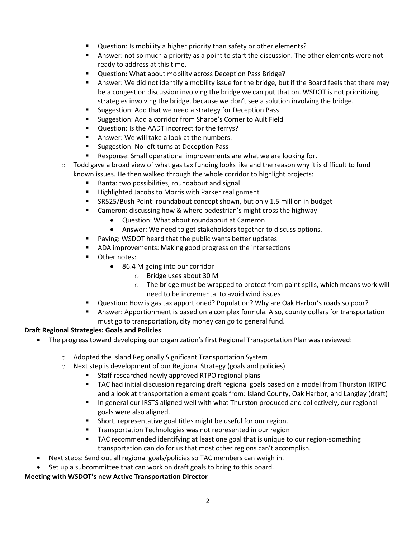- Question: Is mobility a higher priority than safety or other elements?
- **Answer: not so much a priority as a point to start the discussion. The other elements were not** ready to address at this time.
- **E** Question: What about mobility across Deception Pass Bridge?
- Answer: We did not identify a mobility issue for the bridge, but if the Board feels that there may be a congestion discussion involving the bridge we can put that on. WSDOT is not prioritizing strategies involving the bridge, because we don't see a solution involving the bridge.
- **Suggestion: Add that we need a strategy for Deception Pass**
- **Suggestion: Add a corridor from Sharpe's Corner to Ault Field**
- **Question: Is the AADT incorrect for the ferrys?**
- **Answer: We will take a look at the numbers.**
- **Suggestion: No left turns at Deception Pass**
- **Response: Small operational improvements are what we are looking for.**
- $\circ$  Todd gave a broad view of what gas tax funding looks like and the reason why it is difficult to fund known issues. He then walked through the whole corridor to highlight projects:
	- Banta: two possibilities, roundabout and signal
	- **Highlighted Jacobs to Morris with Parker realignment**
	- SR525/Bush Point: roundabout concept shown, but only 1.5 million in budget
	- Cameron: discussing how & where pedestrian's might cross the highway
		- Question: What about roundabout at Cameron
		- Answer: We need to get stakeholders together to discuss options.
	- **Paving: WSDOT heard that the public wants better updates**
	- ADA improvements: Making good progress on the intersections
	- Other notes:
		- 86.4 M going into our corridor
			- o Bridge uses about 30 M
			- $\circ$  The bridge must be wrapped to protect from paint spills, which means work will need to be incremental to avoid wind issues
	- Question: How is gas tax apportioned? Population? Why are Oak Harbor's roads so poor?
	- Answer: Apportionment is based on a complex formula. Also, county dollars for transportation must go to transportation, city money can go to general fund.

## **Draft Regional Strategies: Goals and Policies**

- The progress toward developing our organization's first Regional Transportation Plan was reviewed:
	- o Adopted the Island Regionally Significant Transportation System
	- o Next step is development of our Regional Strategy (goals and policies)
		- **EXTER 15 In Staff researched newly approved RTPO regional plans**
		- TAC had initial discussion regarding draft regional goals based on a model from Thurston IRTPO and a look at transportation element goals from: Island County, Oak Harbor, and Langley (draft)
		- **In general our IRSTS aligned well with what Thurston produced and collectively, our regional** goals were also aligned.
		- **Short, representative goal titles might be useful for our region.**
		- **Transportation Technologies was not represented in our region**
		- **TAC recommended identifying at least one goal that is unique to our region-something** transportation can do for us that most other regions can't accomplish.
- Next steps: Send out all regional goals/policies so TAC members can weigh in.
- Set up a subcommittee that can work on draft goals to bring to this board.

# **Meeting with WSDOT's new Active Transportation Director**